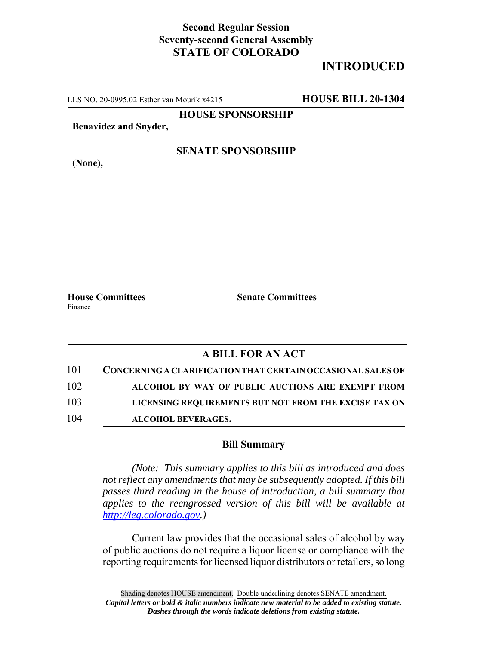## **Second Regular Session Seventy-second General Assembly STATE OF COLORADO**

# **INTRODUCED**

LLS NO. 20-0995.02 Esther van Mourik x4215 **HOUSE BILL 20-1304**

**HOUSE SPONSORSHIP**

**Benavidez and Snyder,**

**SENATE SPONSORSHIP**

**House Committees Senate Committees** 

# Finance

**(None),**

#### **A BILL FOR AN ACT**

| 101 | CONCERNING A CLARIFICATION THAT CERTAIN OCCASIONAL SALES OF |
|-----|-------------------------------------------------------------|
| 102 | ALCOHOL BY WAY OF PUBLIC AUCTIONS ARE EXEMPT FROM           |
| 103 | LICENSING REQUIREMENTS BUT NOT FROM THE EXCISE TAX ON       |
| 104 | <b>ALCOHOL BEVERAGES.</b>                                   |

#### **Bill Summary**

*(Note: This summary applies to this bill as introduced and does not reflect any amendments that may be subsequently adopted. If this bill passes third reading in the house of introduction, a bill summary that applies to the reengrossed version of this bill will be available at http://leg.colorado.gov.)*

Current law provides that the occasional sales of alcohol by way of public auctions do not require a liquor license or compliance with the reporting requirements for licensed liquor distributors or retailers, so long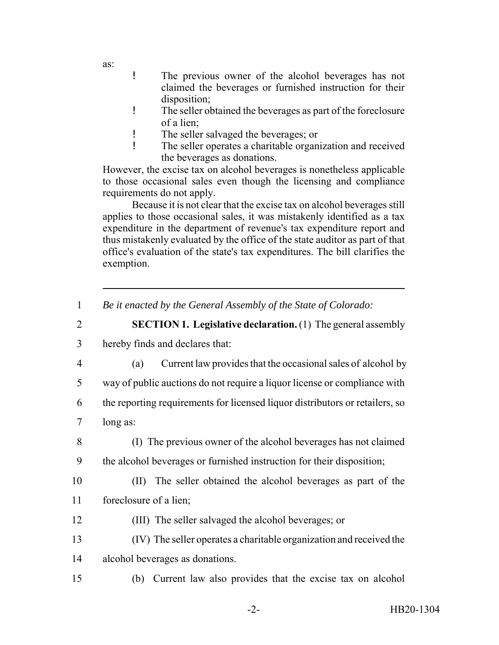as:

- ! The previous owner of the alcohol beverages has not claimed the beverages or furnished instruction for their disposition;
- ! The seller obtained the beverages as part of the foreclosure of a lien;
- ! The seller salvaged the beverages; or
- ! The seller operates a charitable organization and received the beverages as donations.

However, the excise tax on alcohol beverages is nonetheless applicable to those occasional sales even though the licensing and compliance requirements do not apply.

Because it is not clear that the excise tax on alcohol beverages still applies to those occasional sales, it was mistakenly identified as a tax expenditure in the department of revenue's tax expenditure report and thus mistakenly evaluated by the office of the state auditor as part of that office's evaluation of the state's tax expenditures. The bill clarifies the exemption.

### 2 **SECTION 1. Legislative declaration.** (1) The general assembly

- 3 hereby finds and declares that:
- 4 (a) Current law provides that the occasional sales of alcohol by
- 5 way of public auctions do not require a liquor license or compliance with
- 6 the reporting requirements for licensed liquor distributors or retailers, so
- 7 long as:
- 

8 (I) The previous owner of the alcohol beverages has not claimed

- 9 the alcohol beverages or furnished instruction for their disposition;
- 

10 (II) The seller obtained the alcohol beverages as part of the 11 foreclosure of a lien;

- 12 (III) The seller salvaged the alcohol beverages; or
- 13 (IV) The seller operates a charitable organization and received the 14 alcohol beverages as donations.
- 15 (b) Current law also provides that the excise tax on alcohol

<sup>1</sup> *Be it enacted by the General Assembly of the State of Colorado:*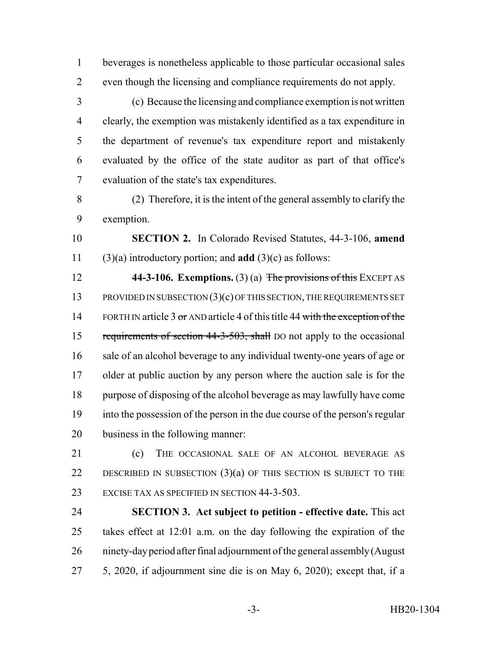beverages is nonetheless applicable to those particular occasional sales even though the licensing and compliance requirements do not apply.

- (c) Because the licensing and compliance exemption is not written clearly, the exemption was mistakenly identified as a tax expenditure in the department of revenue's tax expenditure report and mistakenly evaluated by the office of the state auditor as part of that office's evaluation of the state's tax expenditures.
- (2) Therefore, it is the intent of the general assembly to clarify the exemption.

 **SECTION 2.** In Colorado Revised Statutes, 44-3-106, **amend** (3)(a) introductory portion; and **add** (3)(c) as follows:

 **44-3-106. Exemptions.** (3) (a) The provisions of this EXCEPT AS 13 PROVIDED IN SUBSECTION (3)(c) OF THIS SECTION, THE REQUIREMENTS SET 14 FORTH IN article 3 or AND article 4 of this title 44 with the exception of the 15 requirements of section 44-3-503, shall DO not apply to the occasional sale of an alcohol beverage to any individual twenty-one years of age or 17 older at public auction by any person where the auction sale is for the purpose of disposing of the alcohol beverage as may lawfully have come into the possession of the person in the due course of the person's regular business in the following manner:

21 (c) THE OCCASIONAL SALE OF AN ALCOHOL BEVERAGE AS 22 DESCRIBED IN SUBSECTION  $(3)(a)$  OF THIS SECTION IS SUBJECT TO THE EXCISE TAX AS SPECIFIED IN SECTION 44-3-503.

 **SECTION 3. Act subject to petition - effective date.** This act takes effect at 12:01 a.m. on the day following the expiration of the ninety-day period after final adjournment of the general assembly (August 5, 2020, if adjournment sine die is on May 6, 2020); except that, if a